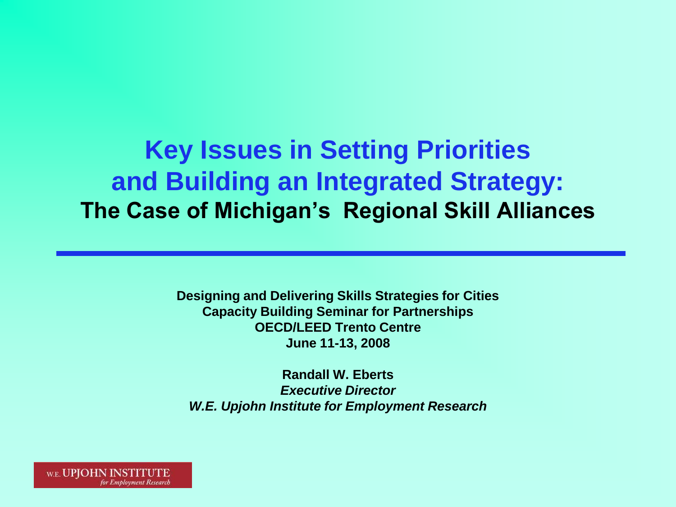#### **Key Issues in Setting Priorities and Building an Integrated Strategy: The Case of Michigan's Regional Skill Alliances**

**Designing and Delivering Skills Strategies for Cities Capacity Building Seminar for Partnerships OECD/LEED Trento Centre June 11-13, 2008**

**Randall W. Eberts** *Executive Director W.E. Upjohn Institute for Employment Research*

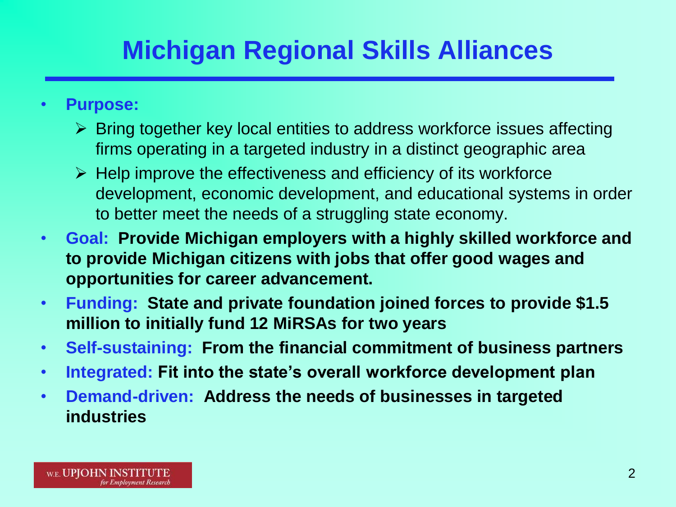# **Michigan Regional Skills Alliances**

- **Purpose:**
	- $\triangleright$  Bring together key local entities to address workforce issues affecting firms operating in a targeted industry in a distinct geographic area
	- $\triangleright$  Help improve the effectiveness and efficiency of its workforce development, economic development, and educational systems in order to better meet the needs of a struggling state economy.
- **Goal: Provide Michigan employers with a highly skilled workforce and to provide Michigan citizens with jobs that offer good wages and opportunities for career advancement.**
- **Funding: State and private foundation joined forces to provide \$1.5 million to initially fund 12 MiRSAs for two years**
- **Self-sustaining: From the financial commitment of business partners**
- **Integrated: Fit into the state's overall workforce development plan**
- **Demand-driven: Address the needs of businesses in targeted industries**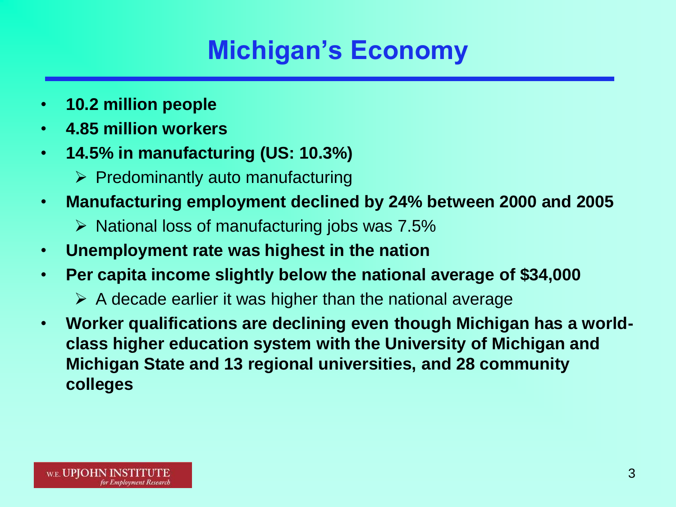## **Michigan's Economy**

- **10.2 million people**
- **4.85 million workers**
- **14.5% in manufacturing (US: 10.3%)**
	- $\triangleright$  Predominantly auto manufacturing
- **Manufacturing employment declined by 24% between 2000 and 2005**
	- $\triangleright$  National loss of manufacturing jobs was 7.5%
- **Unemployment rate was highest in the nation**
- **Per capita income slightly below the national average of \$34,000**
	- $\triangleright$  A decade earlier it was higher than the national average
- **Worker qualifications are declining even though Michigan has a worldclass higher education system with the University of Michigan and Michigan State and 13 regional universities, and 28 community colleges**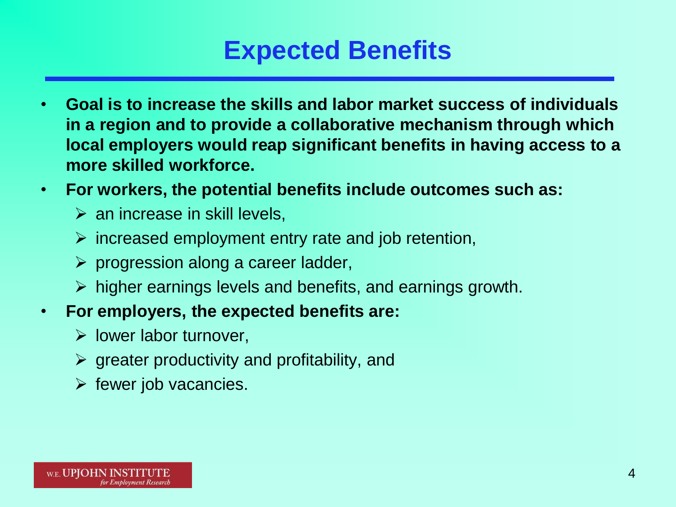#### **Expected Benefits**

- **Goal is to increase the skills and labor market success of individuals in a region and to provide a collaborative mechanism through which local employers would reap significant benefits in having access to a more skilled workforce.**
- **For workers, the potential benefits include outcomes such as:**
	- $\triangleright$  an increase in skill levels,
	- $\triangleright$  increased employment entry rate and job retention,
	- $\triangleright$  progression along a career ladder,
	- $\triangleright$  higher earnings levels and benefits, and earnings growth.
- **For employers, the expected benefits are:**
	- $\triangleright$  lower labor turnover,
	- $\triangleright$  greater productivity and profitability, and
	- $\triangleright$  fewer job vacancies.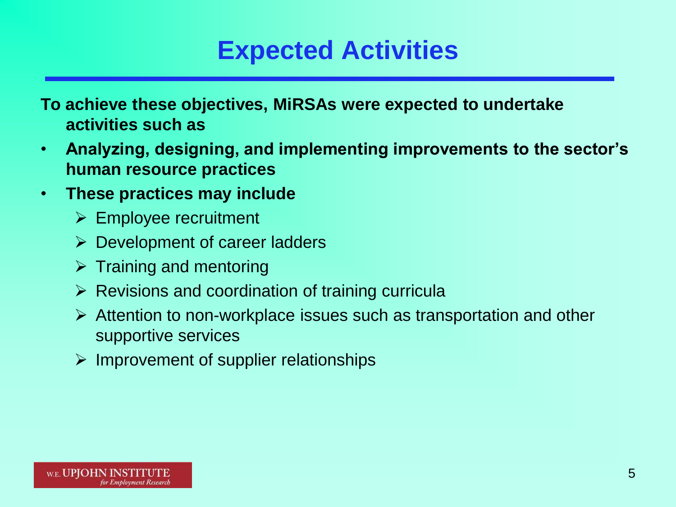### **Expected Activities**

**To achieve these objectives, MiRSAs were expected to undertake activities such as** 

- **Analyzing, designing, and implementing improvements to the sector's human resource practices**
- **These practices may include** 
	- $\triangleright$  Employee recruitment
	- $\triangleright$  Development of career ladders
	- $\triangleright$  Training and mentoring
	- $\triangleright$  Revisions and coordination of training curricula
	- $\triangleright$  Attention to non-workplace issues such as transportation and other supportive services
	- $\triangleright$  Improvement of supplier relationships

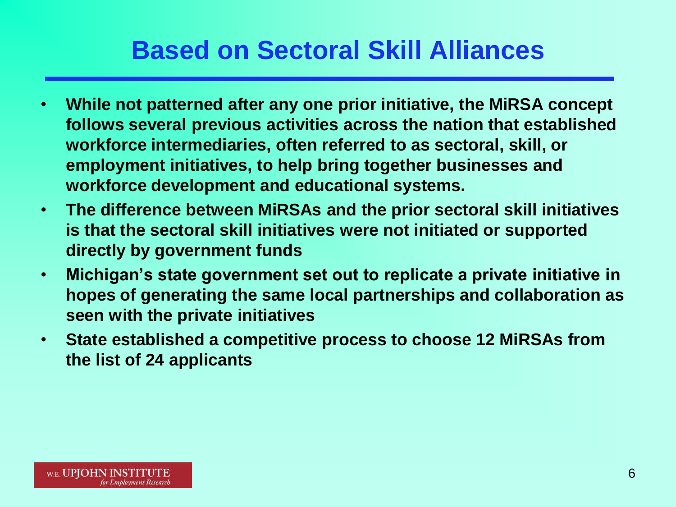### **Based on Sectoral Skill Alliances**

- **While not patterned after any one prior initiative, the MiRSA concept follows several previous activities across the nation that established workforce intermediaries, often referred to as sectoral, skill, or employment initiatives, to help bring together businesses and workforce development and educational systems.**
- **The difference between MiRSAs and the prior sectoral skill initiatives is that the sectoral skill initiatives were not initiated or supported directly by government funds**
- **Michigan's state government set out to replicate a private initiative in hopes of generating the same local partnerships and collaboration as seen with the private initiatives**
- **State established a competitive process to choose 12 MiRSAs from the list of 24 applicants**

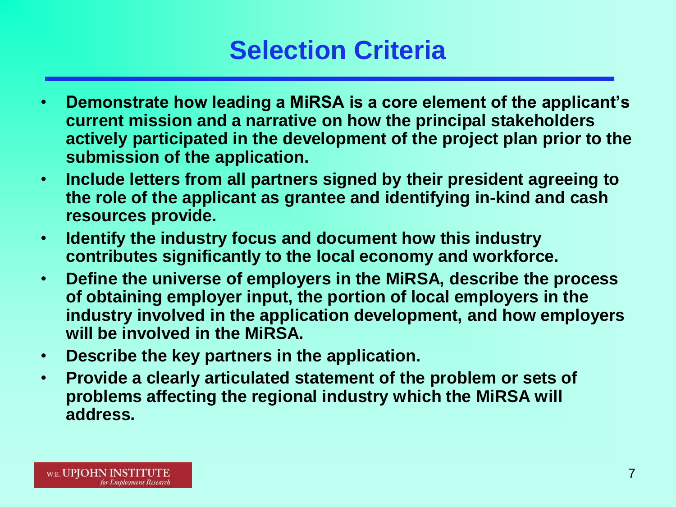#### **Selection Criteria**

- **Demonstrate how leading a MiRSA is a core element of the applicant's current mission and a narrative on how the principal stakeholders actively participated in the development of the project plan prior to the submission of the application.**
- **Include letters from all partners signed by their president agreeing to the role of the applicant as grantee and identifying in-kind and cash resources provide.**
- **Identify the industry focus and document how this industry contributes significantly to the local economy and workforce.**
- **Define the universe of employers in the MiRSA, describe the process of obtaining employer input, the portion of local employers in the industry involved in the application development, and how employers will be involved in the MiRSA.**
- **Describe the key partners in the application.**
- **Provide a clearly articulated statement of the problem or sets of problems affecting the regional industry which the MiRSA will address.**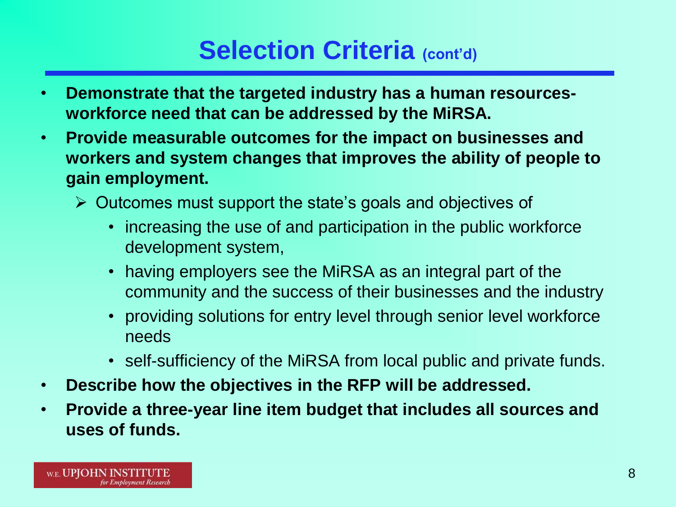### **Selection Criteria** (cont'd)

- **Demonstrate that the targeted industry has a human resourcesworkforce need that can be addressed by the MiRSA.**
- **Provide measurable outcomes for the impact on businesses and workers and system changes that improves the ability of people to gain employment.** 
	- $\triangleright$  Outcomes must support the state's goals and objectives of
		- increasing the use of and participation in the public workforce development system,
		- having employers see the MiRSA as an integral part of the community and the success of their businesses and the industry
		- providing solutions for entry level through senior level workforce needs
		- self-sufficiency of the MiRSA from local public and private funds.
- **Describe how the objectives in the RFP will be addressed.**
- **Provide a three-year line item budget that includes all sources and uses of funds.**

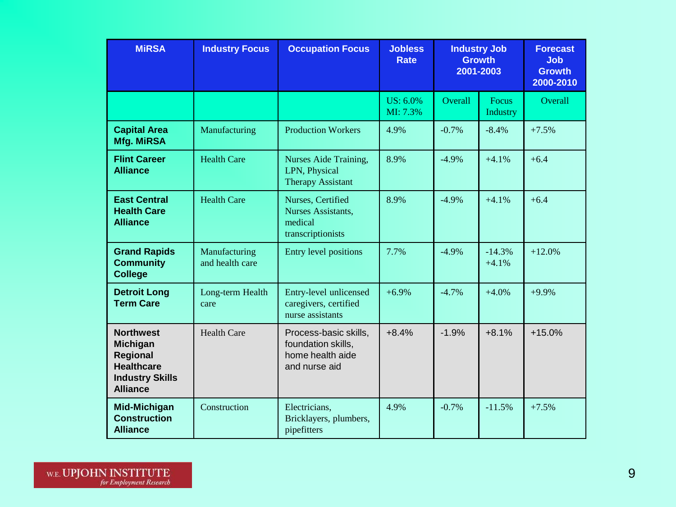| <b>MIRSA</b>                                                                                                      | <b>Industry Focus</b>            | <b>Occupation Focus</b>                                                          | <b>Jobless</b><br><b>Rate</b> | <b>Industry Job</b><br><b>Growth</b><br>2001-2003 |                          | <b>Forecast</b><br><b>Job</b><br><b>Growth</b><br>2000-2010 |
|-------------------------------------------------------------------------------------------------------------------|----------------------------------|----------------------------------------------------------------------------------|-------------------------------|---------------------------------------------------|--------------------------|-------------------------------------------------------------|
|                                                                                                                   |                                  |                                                                                  | US: 6.0%<br>MI: 7.3%          | Overall                                           | <b>Focus</b><br>Industry | <b>Overall</b>                                              |
| <b>Capital Area</b><br><b>Mfg. MiRSA</b>                                                                          | Manufacturing                    | <b>Production Workers</b>                                                        | 4.9%                          | $-0.7%$                                           | $-8.4\%$                 | $+7.5%$                                                     |
| <b>Flint Career</b><br><b>Alliance</b>                                                                            | <b>Health Care</b>               | Nurses Aide Training,<br>LPN, Physical<br><b>Therapy Assistant</b>               | 8.9%                          | $-4.9\%$                                          | $+4.1%$                  | $+6.4$                                                      |
| <b>East Central</b><br><b>Health Care</b><br><b>Alliance</b>                                                      | <b>Health Care</b>               | Nurses, Certified<br>Nurses Assistants,<br>medical<br>transcriptionists          | 8.9%                          | $-4.9\%$                                          | $+4.1%$                  | $+6.4$                                                      |
| <b>Grand Rapids</b><br><b>Community</b><br><b>College</b>                                                         | Manufacturing<br>and health care | Entry level positions                                                            | 7.7%                          | $-4.9\%$                                          | $-14.3%$<br>$+4.1%$      | $+12.0%$                                                    |
| <b>Detroit Long</b><br><b>Term Care</b>                                                                           | Long-term Health<br>care         | Entry-level unlicensed<br>caregivers, certified<br>nurse assistants              | $+6.9%$                       | $-4.7%$                                           | $+4.0%$                  | $+9.9\%$                                                    |
| <b>Northwest</b><br><b>Michigan</b><br>Regional<br><b>Healthcare</b><br><b>Industry Skills</b><br><b>Alliance</b> | <b>Health Care</b>               | Process-basic skills,<br>foundation skills,<br>home health aide<br>and nurse aid | $+8.4%$                       | $-1.9%$                                           | $+8.1%$                  | $+15.0%$                                                    |
| <b>Mid-Michigan</b><br><b>Construction</b><br><b>Alliance</b>                                                     | Construction                     | Electricians,<br>Bricklayers, plumbers,<br>pipefitters                           | 4.9%                          | $-0.7%$                                           | $-11.5%$                 | $+7.5%$                                                     |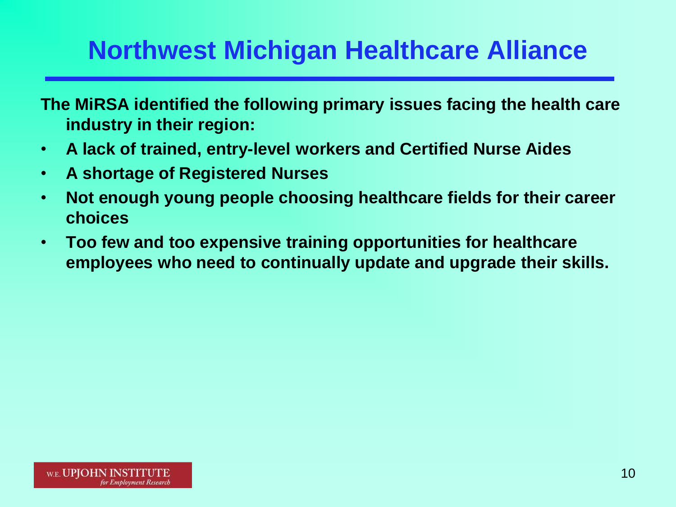## **Northwest Michigan Healthcare Alliance**

**The MiRSA identified the following primary issues facing the health care industry in their region:**

- **A lack of trained, entry-level workers and Certified Nurse Aides**
- **A shortage of Registered Nurses**
- **Not enough young people choosing healthcare fields for their career choices**
- **Too few and too expensive training opportunities for healthcare employees who need to continually update and upgrade their skills.**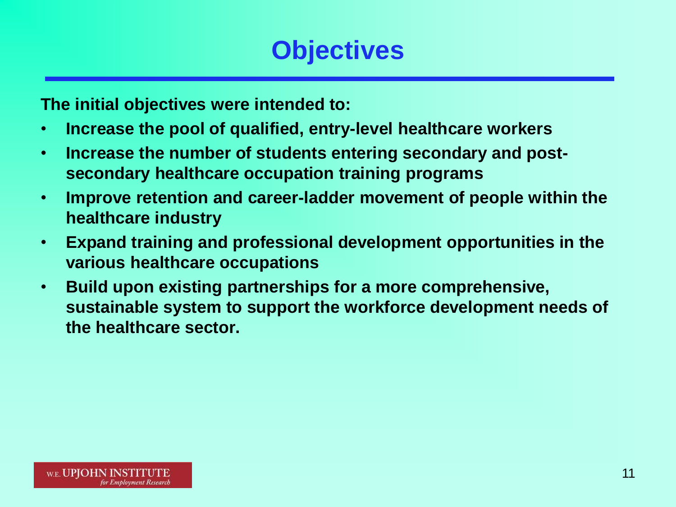### **Objectives**

**The initial objectives were intended to:**

- **Increase the pool of qualified, entry-level healthcare workers**
- **Increase the number of students entering secondary and postsecondary healthcare occupation training programs**
- **Improve retention and career-ladder movement of people within the healthcare industry**
- **Expand training and professional development opportunities in the various healthcare occupations**
- **Build upon existing partnerships for a more comprehensive, sustainable system to support the workforce development needs of the healthcare sector.**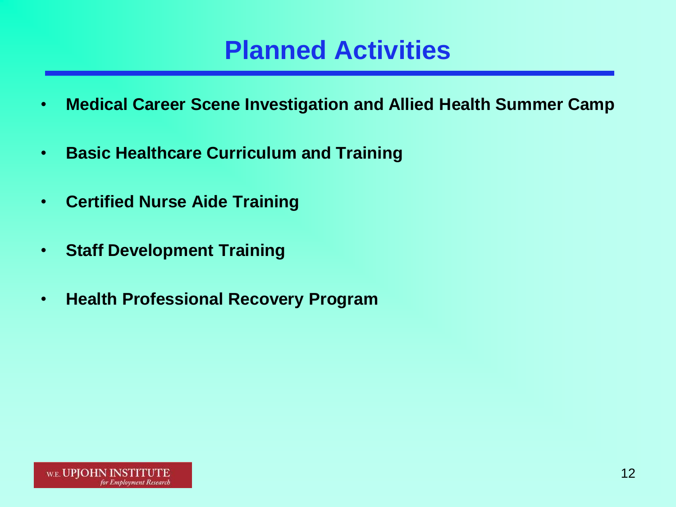### **Planned Activities**

- **Medical Career Scene Investigation and Allied Health Summer Camp**
- **Basic Healthcare Curriculum and Training**
- **Certified Nurse Aide Training**
- **Staff Development Training**
- **Health Professional Recovery Program**